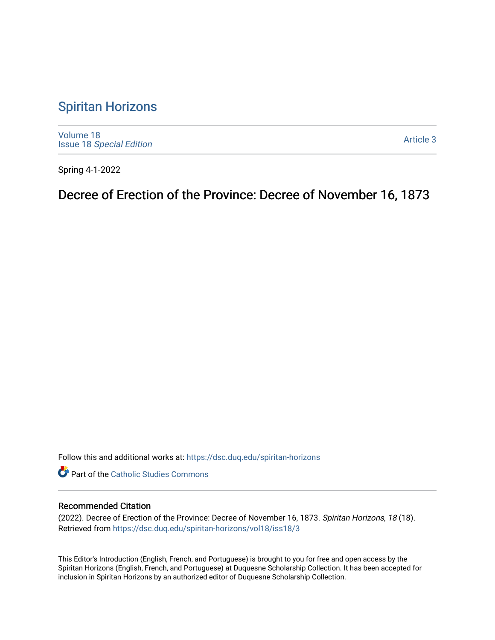## [Spiritan Horizons](https://dsc.duq.edu/spiritan-horizons)

[Volume 18](https://dsc.duq.edu/spiritan-horizons/vol18) Issue 18 [Special Edition](https://dsc.duq.edu/spiritan-horizons/vol18/iss18) 

[Article 3](https://dsc.duq.edu/spiritan-horizons/vol18/iss18/3) 

Spring 4-1-2022

Decree of Erection of the Province: Decree of November 16, 1873

Follow this and additional works at: [https://dsc.duq.edu/spiritan-horizons](https://dsc.duq.edu/spiritan-horizons?utm_source=dsc.duq.edu%2Fspiritan-horizons%2Fvol18%2Fiss18%2F3&utm_medium=PDF&utm_campaign=PDFCoverPages)

**Part of the [Catholic Studies Commons](http://network.bepress.com/hgg/discipline/1294?utm_source=dsc.duq.edu%2Fspiritan-horizons%2Fvol18%2Fiss18%2F3&utm_medium=PDF&utm_campaign=PDFCoverPages)** 

## Recommended Citation

(2022). Decree of Erection of the Province: Decree of November 16, 1873. Spiritan Horizons, 18 (18). Retrieved from [https://dsc.duq.edu/spiritan-horizons/vol18/iss18/3](https://dsc.duq.edu/spiritan-horizons/vol18/iss18/3?utm_source=dsc.duq.edu%2Fspiritan-horizons%2Fvol18%2Fiss18%2F3&utm_medium=PDF&utm_campaign=PDFCoverPages)

This Editor's Introduction (English, French, and Portuguese) is brought to you for free and open access by the Spiritan Horizons (English, French, and Portuguese) at Duquesne Scholarship Collection. It has been accepted for inclusion in Spiritan Horizons by an authorized editor of Duquesne Scholarship Collection.